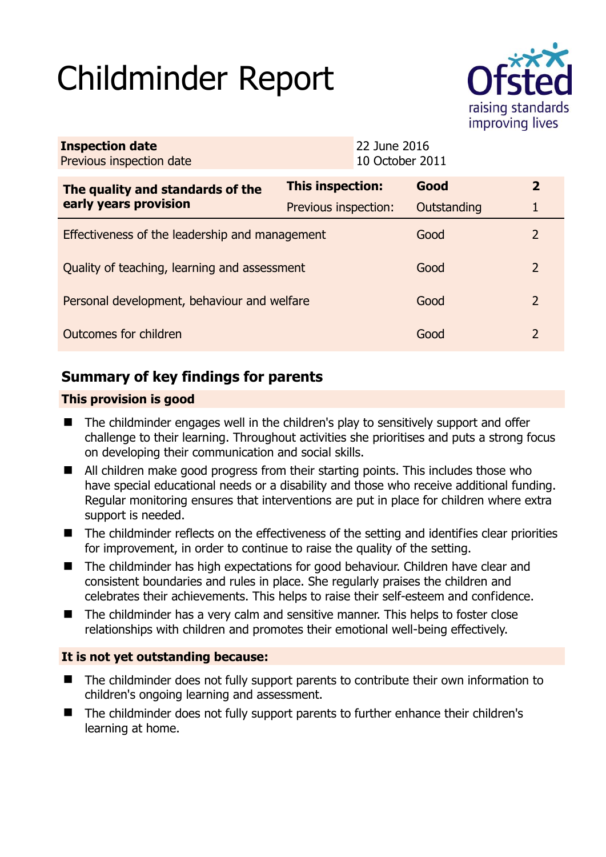# Childminder Report



| <b>Inspection date</b><br>Previous inspection date        |                         | 22 June 2016<br>10 October 2011 |             |               |
|-----------------------------------------------------------|-------------------------|---------------------------------|-------------|---------------|
| The quality and standards of the<br>early years provision | <b>This inspection:</b> |                                 | Good        | $\mathbf{2}$  |
|                                                           | Previous inspection:    |                                 | Outstanding |               |
| Effectiveness of the leadership and management            |                         |                                 | Good        | 2             |
| Quality of teaching, learning and assessment              |                         |                                 | Good        | 2             |
| Personal development, behaviour and welfare               |                         |                                 | Good        | 2             |
| Outcomes for children                                     |                         |                                 | Good        | $\mathcal{P}$ |

# **Summary of key findings for parents**

## **This provision is good**

- The childminder engages well in the children's play to sensitively support and offer challenge to their learning. Throughout activities she prioritises and puts a strong focus on developing their communication and social skills.
- All children make good progress from their starting points. This includes those who have special educational needs or a disability and those who receive additional funding. Regular monitoring ensures that interventions are put in place for children where extra support is needed.
- The childminder reflects on the effectiveness of the setting and identifies clear priorities for improvement, in order to continue to raise the quality of the setting.
- The childminder has high expectations for good behaviour. Children have clear and consistent boundaries and rules in place. She regularly praises the children and celebrates their achievements. This helps to raise their self-esteem and confidence.
- The childminder has a very calm and sensitive manner. This helps to foster close relationships with children and promotes their emotional well-being effectively.

## **It is not yet outstanding because:**

- The childminder does not fully support parents to contribute their own information to children's ongoing learning and assessment.
- The childminder does not fully support parents to further enhance their children's learning at home.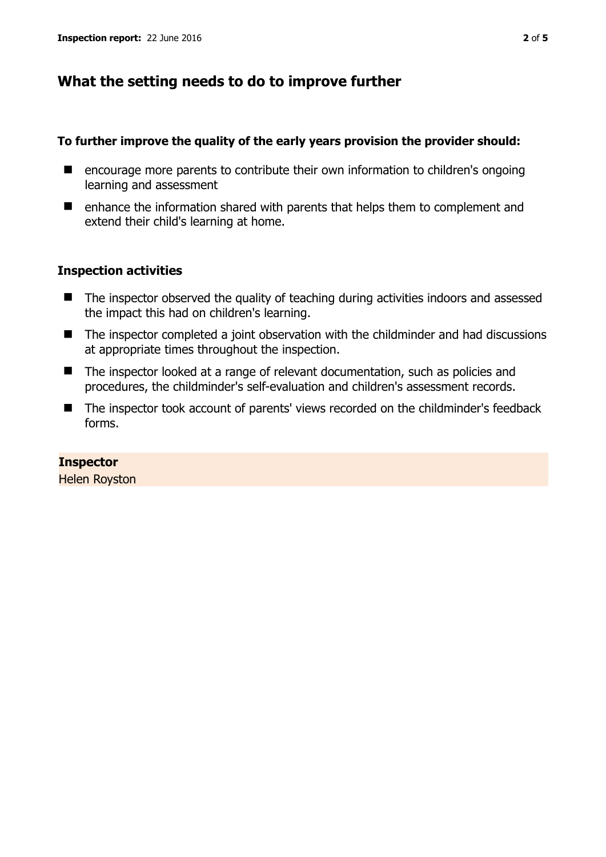## **What the setting needs to do to improve further**

#### **To further improve the quality of the early years provision the provider should:**

- encourage more parents to contribute their own information to children's ongoing learning and assessment
- $\blacksquare$  enhance the information shared with parents that helps them to complement and extend their child's learning at home.

### **Inspection activities**

- The inspector observed the quality of teaching during activities indoors and assessed the impact this had on children's learning.
- The inspector completed a joint observation with the childminder and had discussions at appropriate times throughout the inspection.
- The inspector looked at a range of relevant documentation, such as policies and procedures, the childminder's self-evaluation and children's assessment records.
- The inspector took account of parents' views recorded on the childminder's feedback forms.

## **Inspector**

Helen Royston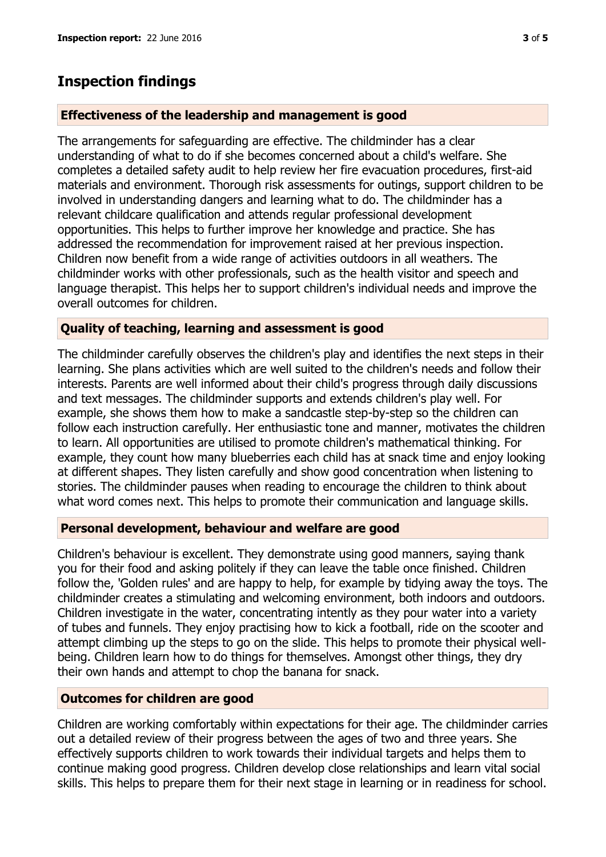## **Inspection findings**

### **Effectiveness of the leadership and management is good**

The arrangements for safeguarding are effective. The childminder has a clear understanding of what to do if she becomes concerned about a child's welfare. She completes a detailed safety audit to help review her fire evacuation procedures, first-aid materials and environment. Thorough risk assessments for outings, support children to be involved in understanding dangers and learning what to do. The childminder has a relevant childcare qualification and attends regular professional development opportunities. This helps to further improve her knowledge and practice. She has addressed the recommendation for improvement raised at her previous inspection. Children now benefit from a wide range of activities outdoors in all weathers. The childminder works with other professionals, such as the health visitor and speech and language therapist. This helps her to support children's individual needs and improve the overall outcomes for children.

#### **Quality of teaching, learning and assessment is good**

The childminder carefully observes the children's play and identifies the next steps in their learning. She plans activities which are well suited to the children's needs and follow their interests. Parents are well informed about their child's progress through daily discussions and text messages. The childminder supports and extends children's play well. For example, she shows them how to make a sandcastle step-by-step so the children can follow each instruction carefully. Her enthusiastic tone and manner, motivates the children to learn. All opportunities are utilised to promote children's mathematical thinking. For example, they count how many blueberries each child has at snack time and enjoy looking at different shapes. They listen carefully and show good concentration when listening to stories. The childminder pauses when reading to encourage the children to think about what word comes next. This helps to promote their communication and language skills.

### **Personal development, behaviour and welfare are good**

Children's behaviour is excellent. They demonstrate using good manners, saying thank you for their food and asking politely if they can leave the table once finished. Children follow the, 'Golden rules' and are happy to help, for example by tidying away the toys. The childminder creates a stimulating and welcoming environment, both indoors and outdoors. Children investigate in the water, concentrating intently as they pour water into a variety of tubes and funnels. They enjoy practising how to kick a football, ride on the scooter and attempt climbing up the steps to go on the slide. This helps to promote their physical wellbeing. Children learn how to do things for themselves. Amongst other things, they dry their own hands and attempt to chop the banana for snack.

### **Outcomes for children are good**

Children are working comfortably within expectations for their age. The childminder carries out a detailed review of their progress between the ages of two and three years. She effectively supports children to work towards their individual targets and helps them to continue making good progress. Children develop close relationships and learn vital social skills. This helps to prepare them for their next stage in learning or in readiness for school.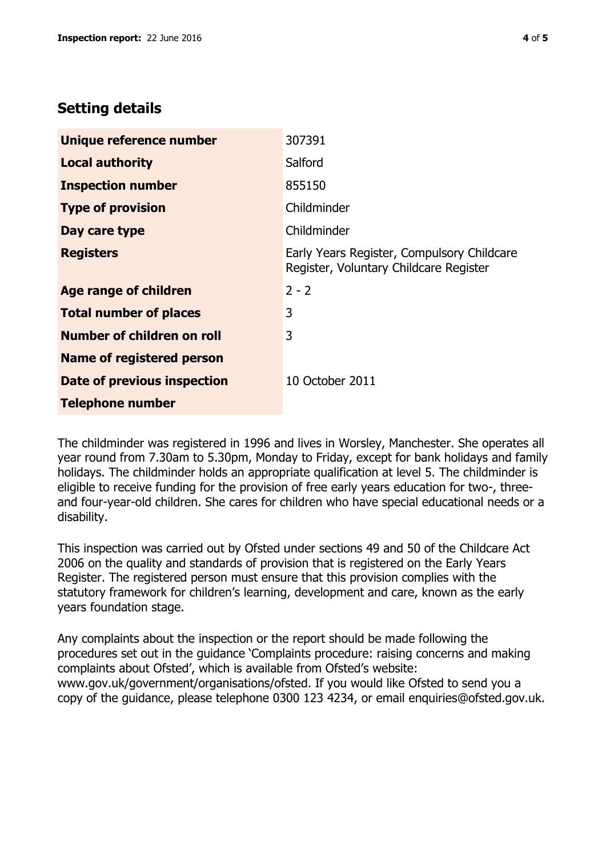## **Setting details**

| Unique reference number           | 307391                                                                               |  |
|-----------------------------------|--------------------------------------------------------------------------------------|--|
| <b>Local authority</b>            | Salford                                                                              |  |
| <b>Inspection number</b>          | 855150                                                                               |  |
| <b>Type of provision</b>          | Childminder                                                                          |  |
| Day care type                     | Childminder                                                                          |  |
| <b>Registers</b>                  | Early Years Register, Compulsory Childcare<br>Register, Voluntary Childcare Register |  |
| Age range of children             | $2 - 2$                                                                              |  |
| <b>Total number of places</b>     | 3                                                                                    |  |
| <b>Number of children on roll</b> | 3                                                                                    |  |
| <b>Name of registered person</b>  |                                                                                      |  |
| Date of previous inspection       | 10 October 2011                                                                      |  |
| <b>Telephone number</b>           |                                                                                      |  |

The childminder was registered in 1996 and lives in Worsley, Manchester. She operates all year round from 7.30am to 5.30pm, Monday to Friday, except for bank holidays and family holidays. The childminder holds an appropriate qualification at level 5. The childminder is eligible to receive funding for the provision of free early years education for two-, threeand four-year-old children. She cares for children who have special educational needs or a disability.

This inspection was carried out by Ofsted under sections 49 and 50 of the Childcare Act 2006 on the quality and standards of provision that is registered on the Early Years Register. The registered person must ensure that this provision complies with the statutory framework for children's learning, development and care, known as the early years foundation stage.

Any complaints about the inspection or the report should be made following the procedures set out in the guidance 'Complaints procedure: raising concerns and making complaints about Ofsted', which is available from Ofsted's website: www.gov.uk/government/organisations/ofsted. If you would like Ofsted to send you a copy of the guidance, please telephone 0300 123 4234, or email enquiries@ofsted.gov.uk.